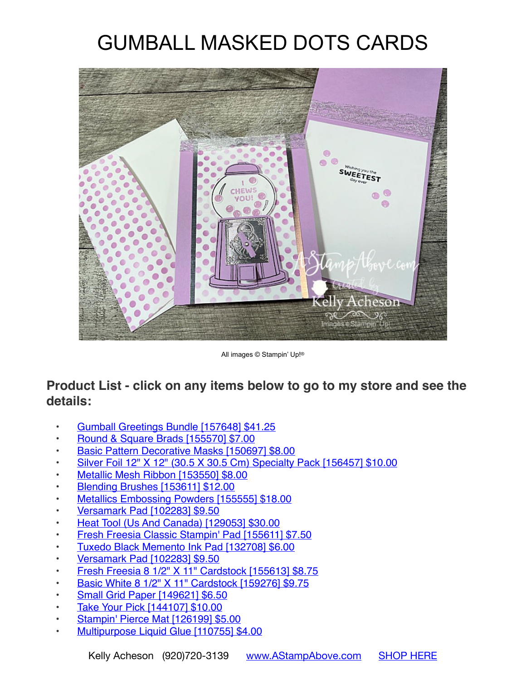## GUMBALL MASKED DOTS CARDS



All images © Stampin' Up!®

## **Product List - click on any items below to go to my store and see the details:**

- [Gumball Greetings Bundle \[157648\] \\$41.25](https://www.stampinup.com/products/gumball-greetings-bundle?demoid=80626)
- [Round & Square Brads \[155570\] \\$7.00](https://www.stampinup.com/products/round-square-brads?demoid=80626)
- [Basic Pattern Decorative Masks \[150697\] \\$8.00](https://www.stampinup.com/products/basic-pattern-decorative-masks?demoid=80626)
- [Silver Foil 12" X 12" \(30.5 X 30.5 Cm\) Specialty Pack \[156457\] \\$10.00](https://www.stampinup.com/products/silver-foil-12-x-12-(30-5-x-30-5-cm)-specialty-pack?demoid=80626)
- [Metallic Mesh Ribbon \[153550\] \\$8.00](https://www.stampinup.com/products/metallic-mesh-ribbon?demoid=80626)
- [Blending Brushes \[153611\] \\$12.00](https://www.stampinup.com/products/blending-brushes?demoid=80626)
- [Metallics Embossing Powders \[155555\] \\$18.00](https://www.stampinup.com/products/metallics-stampin-emboss-powders?demoid=80626)
- [Versamark Pad \[102283\] \\$9.50](https://www.stampinup.com/products/versamark-pad?demoid=80626)
- [Heat Tool \(Us And Canada\) \[129053\] \\$30.00](https://www.stampinup.com/products/heat-tool?demoid=80626)
- [Fresh Freesia Classic Stampin' Pad \[155611\] \\$7.50](https://www.stampinup.com/products/fresh-freesia-classic-stampin-pad?demoid=80626)
- [Tuxedo Black Memento Ink Pad \[132708\] \\$6.00](https://www.stampinup.com/products/memento-ink-pad-tuxedo-black?demoid=80626)
- [Versamark Pad \[102283\] \\$9.50](https://www.stampinup.com/products/versamark-pad?demoid=80626)
- [Fresh Freesia 8 1/2" X 11" Cardstock \[155613\] \\$8.75](https://www.stampinup.com/products/fresh-freesia-8-1-2-x-11-cardstock?demoid=80626)
- [Basic White 8 1/2" X 11" Cardstock \[159276\] \\$9.75](https://www.stampinup.com/products/basic-white-8-1-2-x-11-cardstock?demoid=80626)
- [Small Grid Paper \[149621\] \\$6.50](https://www.stampinup.com/products/paper-grid-small?demoid=80626)
- [Take Your Pick \[144107\] \\$10.00](https://www.stampinup.com/products/take-your-pick?demoid=80626)
- [Stampin' Pierce Mat \[126199\] \\$5.00](https://www.stampinup.com/products/stampin-pierce-mat?demoid=80626)
- [Multipurpose Liquid Glue \[110755\] \\$4.00](https://www.stampinup.com/products/glue-liquid-multipurpose?demoid=80626)